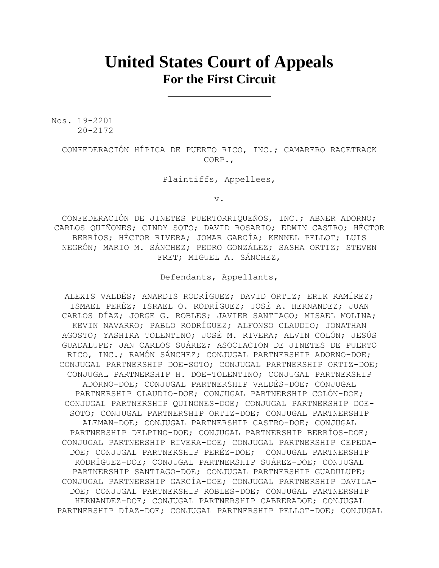## **United States Court of Appeals For the First Circuit**

Nos. 19-2201 20-2172

> CONFEDERACIÓN HÍPICA DE PUERTO RICO, INC.; CAMARERO RACETRACK CORP.,

> > Plaintiffs, Appellees,

v.

CONFEDERACIÓN DE JINETES PUERTORRIQUEÑOS, INC.; ABNER ADORNO; CARLOS QUIÑONES; CINDY SOTO; DAVID ROSARIO; EDWIN CASTRO; HÉCTOR BERRÍOS; HÉCTOR RIVERA; JOMAR GARCÍA; KENNEL PELLOT; LUIS NEGRÓN; MARIO M. SÁNCHEZ; PEDRO GONZÁLEZ; SASHA ORTIZ; STEVEN FRET; MIGUEL A. SÁNCHEZ,

Defendants, Appellants,

ALEXIS VALDÉS; ANARDIS RODRÍGUEZ; DAVID ORTIZ; ERIK RAMÍREZ; ISMAEL PERÉZ; ISRAEL O. RODRÍGUEZ; JOSÉ A. HERNANDEZ; JUAN CARLOS DÍAZ; JORGE G. ROBLES; JAVIER SANTIAGO; MISAEL MOLINA; KEVIN NAVARRO; PABLO RODRÍGUEZ; ALFONSO CLAUDIO; JONATHAN AGOSTO; YASHIRA TOLENTINO; JOSÉ M. RIVERA; ALVIN COLÓN; JESÚS GUADALUPE; JAN CARLOS SUÁREZ; ASOCIACION DE JINETES DE PUERTO RICO, INC.; RAMÓN SÁNCHEZ; CONJUGAL PARTNERSHIP ADORNO-DOE; CONJUGAL PARTNERSHIP DOE-SOTO; CONJUGAL PARTNERSHIP ORTIZ-DOE; CONJUGAL PARTNERSHIP H. DOE-TOLENTINO; CONJUGAL PARTNERSHIP ADORNO-DOE; CONJUGAL PARTNERSHIP VALDÉS-DOE; CONJUGAL PARTNERSHIP CLAUDIO-DOE; CONJUGAL PARTNERSHIP COLÓN-DOE; CONJUGAL PARTNERSHIP QUINONES-DOE; CONJUGAL PARTNERSHIP DOE-SOTO; CONJUGAL PARTNERSHIP ORTIZ-DOE; CONJUGAL PARTNERSHIP ALEMAN-DOE; CONJUGAL PARTNERSHIP CASTRO-DOE; CONJUGAL PARTNERSHIP DELPINO-DOE; CONJUGAL PARTNERSHIP BERRÍOS-DOE; CONJUGAL PARTNERSHIP RIVERA-DOE; CONJUGAL PARTNERSHIP CEPEDA-DOE; CONJUGAL PARTNERSHIP PERÉZ-DOE; CONJUGAL PARTNERSHIP RODRÍGUEZ-DOE; CONJUGAL PARTNERSHIP SUÁREZ-DOE; CONJUGAL PARTNERSHIP SANTIAGO-DOE; CONJUGAL PARTNERSHIP GUADULUPE; CONJUGAL PARTNERSHIP GARCÍA-DOE; CONJUGAL PARTNERSHIP DAVILA-DOE; CONJUGAL PARTNERSHIP ROBLES-DOE; CONJUGAL PARTNERSHIP HERNANDEZ-DOE; CONJUGAL PARTNERSHIP CABRERADOE; CONJUGAL PARTNERSHIP DÍAZ-DOE; CONJUGAL PARTNERSHIP PELLOT-DOE; CONJUGAL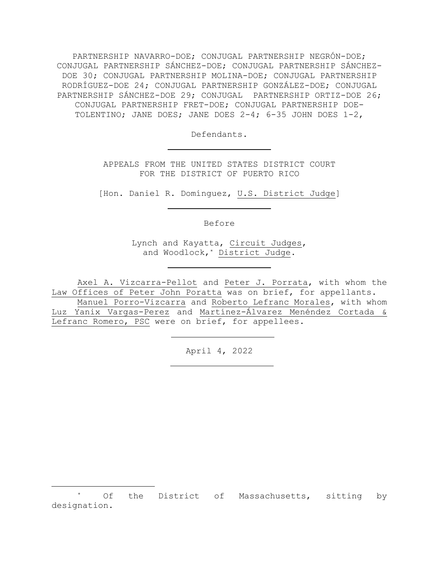PARTNERSHIP NAVARRO-DOE; CONJUGAL PARTNERSHIP NEGRÓN-DOE; CONJUGAL PARTNERSHIP SÁNCHEZ-DOE; CONJUGAL PARTNERSHIP SÁNCHEZ-DOE 30; CONJUGAL PARTNERSHIP MOLINA-DOE; CONJUGAL PARTNERSHIP RODRÍGUEZ-DOE 24; CONJUGAL PARTNERSHIP GONZÁLEZ-DOE; CONJUGAL PARTNERSHIP SÁNCHEZ-DOE 29; CONJUGAL PARTNERSHIP ORTIZ-DOE 26; CONJUGAL PARTNERSHIP FRET-DOE; CONJUGAL PARTNERSHIP DOE-TOLENTINO; JANE DOES; JANE DOES 2-4; 6-35 JOHN DOES 1-2,

Defendants.

APPEALS FROM THE UNITED STATES DISTRICT COURT FOR THE DISTRICT OF PUERTO RICO

[Hon. Daniel R. Domínguez, U.S. District Judge]

Before

Lynch and Kayatta, Circuit Judges, and Woodlock,\* District Judge.

Axel A. Vizcarra-Pellot and Peter J. Porrata, with whom the Law Offices of Peter John Poratta was on brief, for appellants.

Manuel Porro-Vizcarra and Roberto Lefranc Morales, with whom Luz Yanix Vargas-Perez and Martínez-Álvarez Menéndez Cortada & Lefranc Romero, PSC were on brief, for appellees.

April 4, 2022

Of the District of Massachusetts, sitting by designation.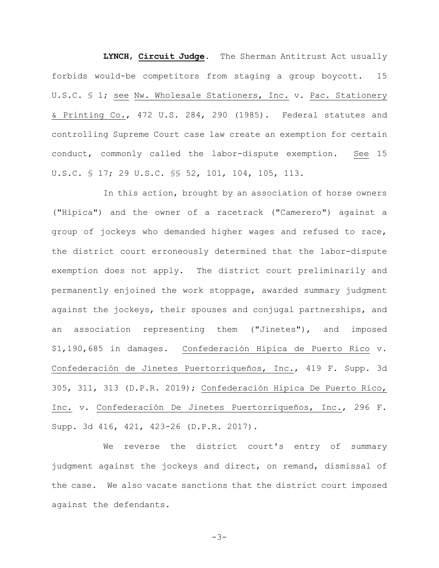**LYNCH**, **Circuit Judge**. The Sherman Antitrust Act usually forbids would-be competitors from staging a group boycott. 15 U.S.C. § 1; see Nw. Wholesale Stationers, Inc. v. Pac. Stationery & Printing Co., 472 U.S. 284, 290 (1985). Federal statutes and controlling Supreme Court case law create an exemption for certain conduct, commonly called the labor-dispute exemption. See 15 U.S.C. § 17; 29 U.S.C. §§ 52, 101, 104, 105, 113.

In this action, brought by an association of horse owners ("Hípica") and the owner of a racetrack ("Camerero") against a group of jockeys who demanded higher wages and refused to race, the district court erroneously determined that the labor-dispute exemption does not apply. The district court preliminarily and permanently enjoined the work stoppage, awarded summary judgment against the jockeys, their spouses and conjugal partnerships, and an association representing them ("Jinetes"), and imposed \$1,190,685 in damages. Confederación Hípica de Puerto Rico v. Confederación de Jinetes Puertorriqueños, Inc., 419 F. Supp. 3d 305, 311, 313 (D.P.R. 2019); Confederación Hípica De Puerto Rico, Inc. v. Confederación De Jinetes Puertorriqueños, Inc., 296 F. Supp. 3d 416, 421, 423-26 (D.P.R. 2017).

We reverse the district court's entry of summary judgment against the jockeys and direct, on remand, dismissal of the case. We also vacate sanctions that the district court imposed against the defendants.

-3-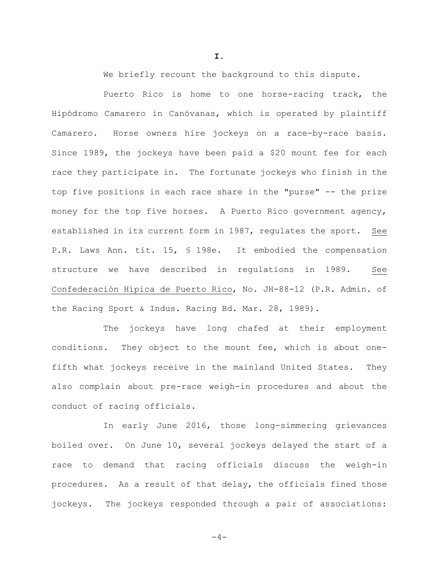We briefly recount the background to this dispute.

Puerto Rico is home to one horse-racing track, the Hipódromo Camarero in Canóvanas, which is operated by plaintiff Camarero. Horse owners hire jockeys on a race-by-race basis. Since 1989, the jockeys have been paid a \$20 mount fee for each race they participate in. The fortunate jockeys who finish in the top five positions in each race share in the "purse" -- the prize money for the top five horses. A Puerto Rico government agency, established in its current form in 1987, regulates the sport. See P.R. Laws Ann. tit. 15, § 198e. It embodied the compensation structure we have described in regulations in 1989. See Confederación Hípica de Puerto Rico, No. JH-88-12 (P.R. Admin. of the Racing Sport & Indus. Racing Bd. Mar. 28, 1989).

The jockeys have long chafed at their employment conditions. They object to the mount fee, which is about onefifth what jockeys receive in the mainland United States. They also complain about pre-race weigh-in procedures and about the conduct of racing officials.

In early June 2016, those long-simmering grievances boiled over. On June 10, several jockeys delayed the start of a race to demand that racing officials discuss the weigh-in procedures. As a result of that delay, the officials fined those jockeys. The jockeys responded through a pair of associations:

**I.**

 $-4-$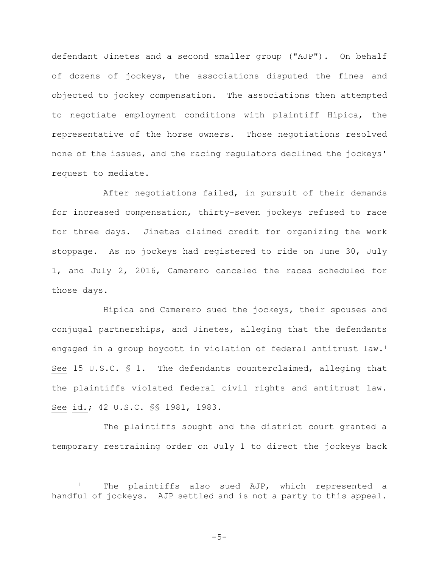defendant Jinetes and a second smaller group ("AJP"). On behalf of dozens of jockeys, the associations disputed the fines and objected to jockey compensation. The associations then attempted to negotiate employment conditions with plaintiff Hípica, the representative of the horse owners. Those negotiations resolved none of the issues, and the racing regulators declined the jockeys' request to mediate.

After negotiations failed, in pursuit of their demands for increased compensation, thirty-seven jockeys refused to race for three days. Jinetes claimed credit for organizing the work stoppage. As no jockeys had registered to ride on June 30, July 1, and July 2, 2016, Camerero canceled the races scheduled for those days.

Hípica and Camerero sued the jockeys, their spouses and conjugal partnerships, and Jinetes, alleging that the defendants engaged in a group boycott in violation of federal antitrust law.<sup>1</sup> See 15 U.S.C. § 1. The defendants counterclaimed, alleging that the plaintiffs violated federal civil rights and antitrust law. See id.; 42 U.S.C. §§ 1981, 1983.

The plaintiffs sought and the district court granted a temporary restraining order on July 1 to direct the jockeys back

-5-

<sup>1</sup> The plaintiffs also sued AJP, which represented a handful of jockeys. AJP settled and is not a party to this appeal.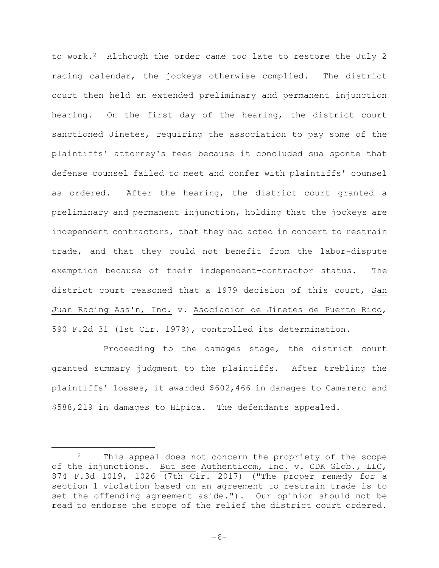to work.<sup>2</sup> Although the order came too late to restore the July 2 racing calendar, the jockeys otherwise complied. The district court then held an extended preliminary and permanent injunction hearing. On the first day of the hearing, the district court sanctioned Jinetes, requiring the association to pay some of the plaintiffs' attorney's fees because it concluded sua sponte that defense counsel failed to meet and confer with plaintiffs' counsel as ordered. After the hearing, the district court granted a preliminary and permanent injunction, holding that the jockeys are independent contractors, that they had acted in concert to restrain trade, and that they could not benefit from the labor-dispute exemption because of their independent-contractor status. The district court reasoned that a 1979 decision of this court, San Juan Racing Ass'n, Inc. v. Asociacion de Jinetes de Puerto Rico, 590 F.2d 31 (1st Cir. 1979), controlled its determination.

Proceeding to the damages stage, the district court granted summary judgment to the plaintiffs. After trebling the plaintiffs' losses, it awarded \$602,466 in damages to Camarero and \$588,219 in damages to Hípica. The defendants appealed.

<sup>&</sup>lt;sup>2</sup> This appeal does not concern the propriety of the scope of the injunctions. But see Authenticom, Inc. v. CDK Glob., LLC, 874 F.3d 1019, 1026 (7th Cir. 2017) ("The proper remedy for a section 1 violation based on an agreement to restrain trade is to set the offending agreement aside."). Our opinion should not be read to endorse the scope of the relief the district court ordered.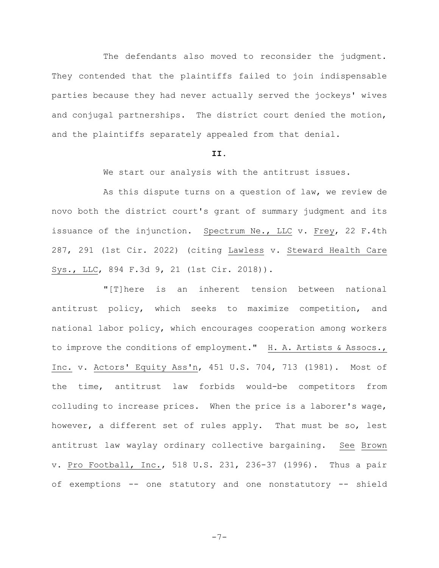The defendants also moved to reconsider the judgment. They contended that the plaintiffs failed to join indispensable parties because they had never actually served the jockeys' wives and conjugal partnerships. The district court denied the motion, and the plaintiffs separately appealed from that denial.

## **II.**

We start our analysis with the antitrust issues.

As this dispute turns on a question of law, we review de novo both the district court's grant of summary judgment and its issuance of the injunction. Spectrum Ne., LLC v. Frey, 22 F.4th 287, 291 (1st Cir. 2022) (citing Lawless v. Steward Health Care Sys., LLC, 894 F.3d 9, 21 (1st Cir. 2018)).

"[T]here is an inherent tension between national antitrust policy, which seeks to maximize competition, and national labor policy, which encourages cooperation among workers to improve the conditions of employment." H. A. Artists & Assocs., Inc. v. Actors' Equity Ass'n, 451 U.S. 704, 713 (1981). Most of the time, antitrust law forbids would-be competitors from colluding to increase prices. When the price is a laborer's wage, however, a different set of rules apply. That must be so, lest antitrust law waylay ordinary collective bargaining. See Brown v. Pro Football, Inc., 518 U.S. 231, 236-37 (1996). Thus a pair of exemptions -- one statutory and one nonstatutory -- shield

-7-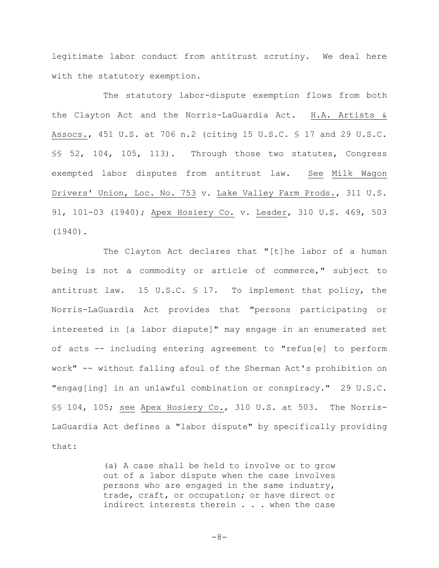legitimate labor conduct from antitrust scrutiny. We deal here with the statutory exemption.

The statutory labor-dispute exemption flows from both the Clayton Act and the Norris-LaGuardia Act. H.A. Artists & Assocs., 451 U.S. at 706 n.2 (citing 15 U.S.C. § 17 and 29 U.S.C. §§ 52, 104, 105, 113). Through those two statutes, Congress exempted labor disputes from antitrust law. See Milk Wagon Drivers' Union, Loc. No. 753 v. Lake Valley Farm Prods., 311 U.S. 91, 101-03 (1940); Apex Hosiery Co. v. Leader, 310 U.S. 469, 503 (1940).

The Clayton Act declares that "[t]he labor of a human being is not a commodity or article of commerce," subject to antitrust law. 15 U.S.C. § 17. To implement that policy, the Norris-LaGuardia Act provides that "persons participating or interested in [a labor dispute]" may engage in an enumerated set of acts -- including entering agreement to "refus[e] to perform work" -- without falling afoul of the Sherman Act's prohibition on "engag[ing] in an unlawful combination or conspiracy." 29 U.S.C. §§ 104, 105; see Apex Hosiery Co., 310 U.S. at 503. The Norris-LaGuardia Act defines a "labor dispute" by specifically providing that:

> (a) A case shall be held to involve or to grow out of a labor dispute when the case involves persons who are engaged in the same industry, trade, craft, or occupation; or have direct or indirect interests therein . . . when the case

$$
-8-
$$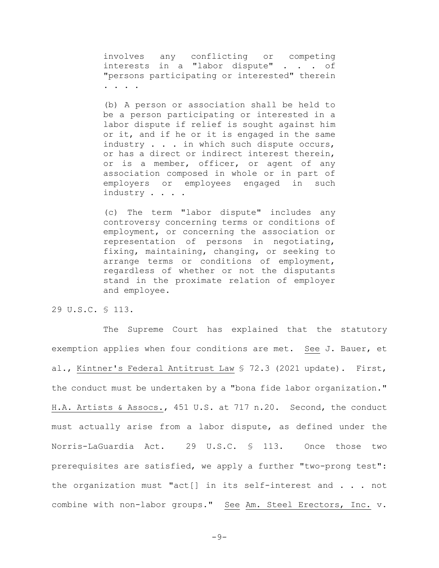involves any conflicting or competing interests in a "labor dispute" . . . of "persons participating or interested" therein . . . .

(b) A person or association shall be held to be a person participating or interested in a labor dispute if relief is sought against him or it, and if he or it is engaged in the same industry . . . in which such dispute occurs, or has a direct or indirect interest therein, or is a member, officer, or agent of any association composed in whole or in part of employers or employees engaged in such industry . . . .

(c) The term "labor dispute" includes any controversy concerning terms or conditions of employment, or concerning the association or representation of persons in negotiating, fixing, maintaining, changing, or seeking to arrange terms or conditions of employment, regardless of whether or not the disputants stand in the proximate relation of employer and employee.

29 U.S.C. § 113.

The Supreme Court has explained that the statutory exemption applies when four conditions are met. See J. Bauer, et al., Kintner's Federal Antitrust Law § 72.3 (2021 update). First, the conduct must be undertaken by a "bona fide labor organization." H.A. Artists & Assocs., 451 U.S. at 717 n.20. Second, the conduct must actually arise from a labor dispute, as defined under the Norris-LaGuardia Act. 29 U.S.C. § 113. Once those two prerequisites are satisfied, we apply a further "two-prong test": the organization must "act[] in its self-interest and . . . not combine with non-labor groups." See Am. Steel Erectors, Inc. v.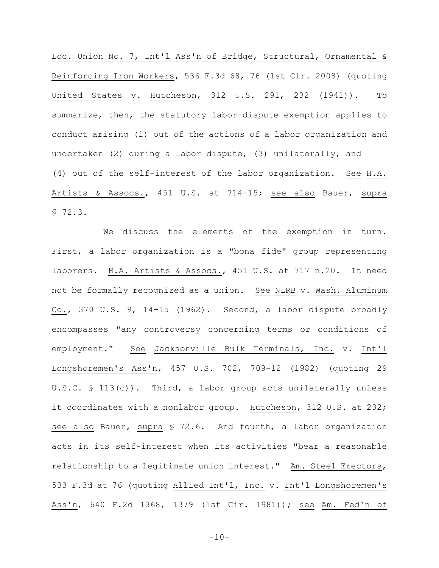Loc. Union No. 7, Int'l Ass'n of Bridge, Structural, Ornamental & Reinforcing Iron Workers, 536 F.3d 68, 76 (1st Cir. 2008) (quoting United States v. Hutcheson, 312 U.S. 291, 232 (1941)). To summarize, then, the statutory labor-dispute exemption applies to conduct arising (1) out of the actions of a labor organization and undertaken (2) during a labor dispute, (3) unilaterally, and (4) out of the self-interest of the labor organization. See H.A. Artists & Assocs., 451 U.S. at 714-15; see also Bauer, supra § 72.3.

We discuss the elements of the exemption in turn. First, a labor organization is a "bona fide" group representing laborers. H.A. Artists & Assocs., 451 U.S. at 717 n.20. It need not be formally recognized as a union. See NLRB v. Wash. Aluminum Co., 370 U.S. 9, 14-15 (1962). Second, a labor dispute broadly encompasses "any controversy concerning terms or conditions of employment." See Jacksonville Bulk Terminals, Inc. v. Int'l Longshoremen's Ass'n, 457 U.S. 702, 709-12 (1982) (quoting 29 U.S.C.  $\{$  113(c)). Third, a labor group acts unilaterally unless it coordinates with a nonlabor group. Hutcheson, 312 U.S. at 232; see also Bauer, supra § 72.6. And fourth, a labor organization acts in its self-interest when its activities "bear a reasonable relationship to a legitimate union interest." Am. Steel Erectors, 533 F.3d at 76 (quoting Allied Int'l, Inc. v. Int'l Longshoremen's Ass'n, 640 F.2d 1368, 1379 (1st Cir. 1981)); see Am. Fed'n of

 $-10-$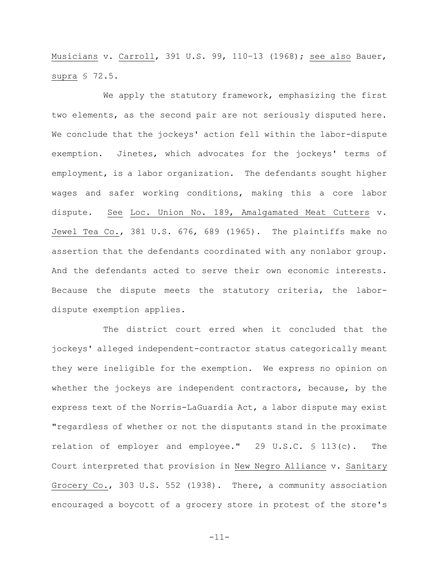Musicians v. Carroll, 391 U.S. 99, 110–13 (1968); see also Bauer, supra § 72.5.

We apply the statutory framework, emphasizing the first two elements, as the second pair are not seriously disputed here. We conclude that the jockeys' action fell within the labor-dispute exemption. Jinetes, which advocates for the jockeys' terms of employment, is a labor organization. The defendants sought higher wages and safer working conditions, making this a core labor dispute. See Loc. Union No. 189, Amalgamated Meat Cutters v. Jewel Tea Co., 381 U.S. 676, 689 (1965). The plaintiffs make no assertion that the defendants coordinated with any nonlabor group. And the defendants acted to serve their own economic interests. Because the dispute meets the statutory criteria, the labordispute exemption applies.

The district court erred when it concluded that the jockeys' alleged independent-contractor status categorically meant they were ineligible for the exemption. We express no opinion on whether the jockeys are independent contractors, because, by the express text of the Norris-LaGuardia Act, a labor dispute may exist "regardless of whether or not the disputants stand in the proximate relation of employer and employee." 29 U.S.C. § 113(c). The Court interpreted that provision in New Negro Alliance v. Sanitary Grocery Co., 303 U.S. 552 (1938). There, a community association encouraged a boycott of a grocery store in protest of the store's

-11-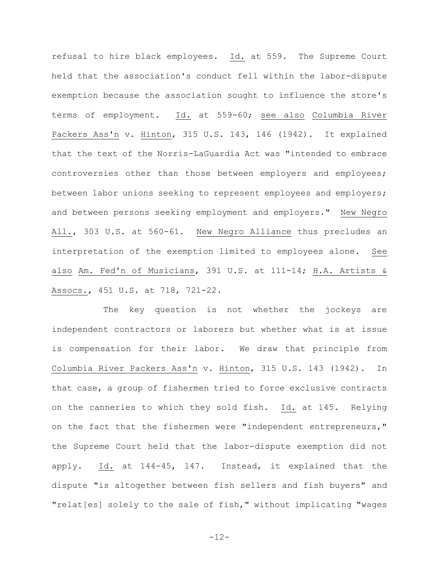refusal to hire black employees. Id. at 559. The Supreme Court held that the association's conduct fell within the labor-dispute exemption because the association sought to influence the store's terms of employment. Id. at 559-60; see also Columbia River Packers Ass'n v. Hinton, 315 U.S. 143, 146 (1942). It explained that the text of the Norris-LaGuardia Act was "intended to embrace controversies other than those between employers and employees; between labor unions seeking to represent employees and employers; and between persons seeking employment and employers." New Negro All., 303 U.S. at 560-61. New Negro Alliance thus precludes an interpretation of the exemption limited to employees alone. See also Am. Fed'n of Musicians, 391 U.S. at 111-14; H.A. Artists & Assocs., 451 U.S. at 718, 721-22.

The key question is not whether the jockeys are independent contractors or laborers but whether what is at issue is compensation for their labor. We draw that principle from Columbia River Packers Ass'n v. Hinton, 315 U.S. 143 (1942). In that case, a group of fishermen tried to force exclusive contracts on the canneries to which they sold fish. Id. at 145. Relying on the fact that the fishermen were "independent entrepreneurs," the Supreme Court held that the labor-dispute exemption did not apply. Id. at 144-45, 147. Instead, it explained that the dispute "is altogether between fish sellers and fish buyers" and "relat[es] solely to the sale of fish," without implicating "wages

-12-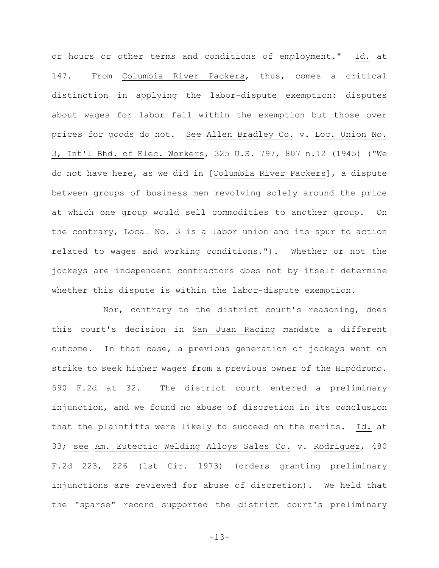or hours or other terms and conditions of employment." Id. at 147. From Columbia River Packers, thus, comes a critical distinction in applying the labor-dispute exemption: disputes about wages for labor fall within the exemption but those over prices for goods do not. See Allen Bradley Co. v. Loc. Union No. 3, Int'l Bhd. of Elec. Workers, 325 U.S. 797, 807 n.12 (1945) ("We do not have here, as we did in [Columbia River Packers], a dispute between groups of business men revolving solely around the price at which one group would sell commodities to another group. On the contrary, Local No. 3 is a labor union and its spur to action related to wages and working conditions."). Whether or not the jockeys are independent contractors does not by itself determine whether this dispute is within the labor-dispute exemption.

Nor, contrary to the district court's reasoning, does this court's decision in San Juan Racing mandate a different outcome. In that case, a previous generation of jockeys went on strike to seek higher wages from a previous owner of the Hipódromo. 590 F.2d at 32. The district court entered a preliminary injunction, and we found no abuse of discretion in its conclusion that the plaintiffs were likely to succeed on the merits. Id. at 33; see Am. Eutectic Welding Alloys Sales Co. v. Rodriguez, 480 F.2d 223, 226 (1st Cir. 1973) (orders granting preliminary injunctions are reviewed for abuse of discretion). We held that the "sparse" record supported the district court's preliminary

-13-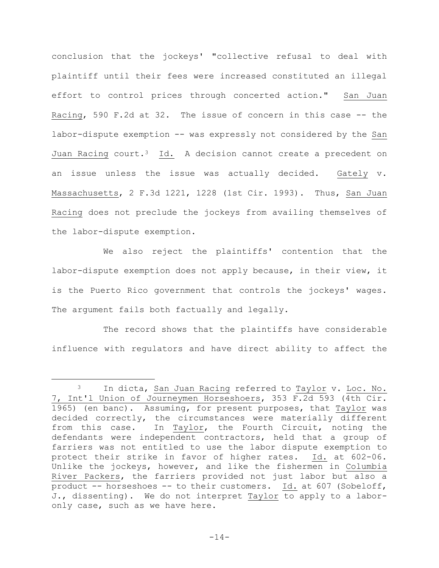conclusion that the jockeys' "collective refusal to deal with plaintiff until their fees were increased constituted an illegal effort to control prices through concerted action." San Juan Racing, 590 F.2d at 32. The issue of concern in this case -- the labor-dispute exemption -- was expressly not considered by the San Juan Racing court.<sup>3</sup> Id. A decision cannot create a precedent on an issue unless the issue was actually decided. Gately v. Massachusetts, 2 F.3d 1221, 1228 (1st Cir. 1993). Thus, San Juan Racing does not preclude the jockeys from availing themselves of the labor-dispute exemption.

We also reject the plaintiffs' contention that the labor-dispute exemption does not apply because, in their view, it is the Puerto Rico government that controls the jockeys' wages. The argument fails both factually and legally.

The record shows that the plaintiffs have considerable influence with regulators and have direct ability to affect the

<sup>&</sup>lt;sup>3</sup> In dicta, San Juan Racing referred to Taylor v. Loc. No. 7, Int'l Union of Journeymen Horseshoers, 353 F.2d 593 (4th Cir. 1965) (en banc). Assuming, for present purposes, that Taylor was decided correctly, the circumstances were materially different from this case. In Taylor, the Fourth Circuit, noting the defendants were independent contractors, held that a group of farriers was not entitled to use the labor dispute exemption to protect their strike in favor of higher rates. Id. at 602-06. Unlike the jockeys, however, and like the fishermen in Columbia River Packers, the farriers provided not just labor but also a product -- horseshoes -- to their customers. Id. at 607 (Sobeloff, J., dissenting). We do not interpret Taylor to apply to a laboronly case, such as we have here.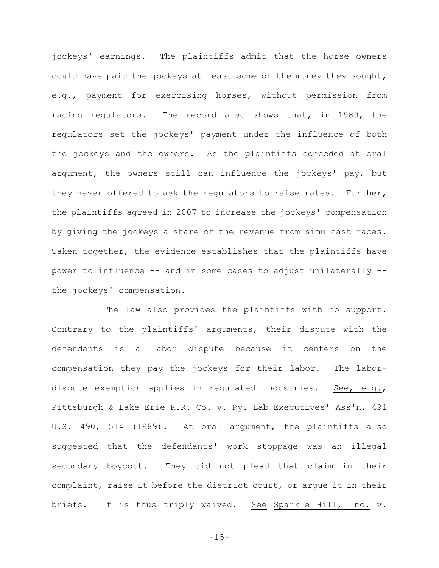jockeys' earnings. The plaintiffs admit that the horse owners could have paid the jockeys at least some of the money they sought, e.g., payment for exercising horses, without permission from racing regulators. The record also shows that, in 1989, the regulators set the jockeys' payment under the influence of both the jockeys and the owners. As the plaintiffs conceded at oral argument, the owners still can influence the jockeys' pay, but they never offered to ask the regulators to raise rates. Further, the plaintiffs agreed in 2007 to increase the jockeys' compensation by giving the jockeys a share of the revenue from simulcast races. Taken together, the evidence establishes that the plaintiffs have power to influence -- and in some cases to adjust unilaterally - the jockeys' compensation.

The law also provides the plaintiffs with no support. Contrary to the plaintiffs' arguments, their dispute with the defendants is a labor dispute because it centers on the compensation they pay the jockeys for their labor. The labordispute exemption applies in regulated industries. See, e.g., Pittsburgh & Lake Erie R.R. Co. v. Ry. Lab Executives' Ass'n, 491 U.S. 490, 514 (1989). At oral argument, the plaintiffs also suggested that the defendants' work stoppage was an illegal secondary boycott. They did not plead that claim in their complaint, raise it before the district court, or argue it in their briefs. It is thus triply waived. See Sparkle Hill, Inc. v.

-15-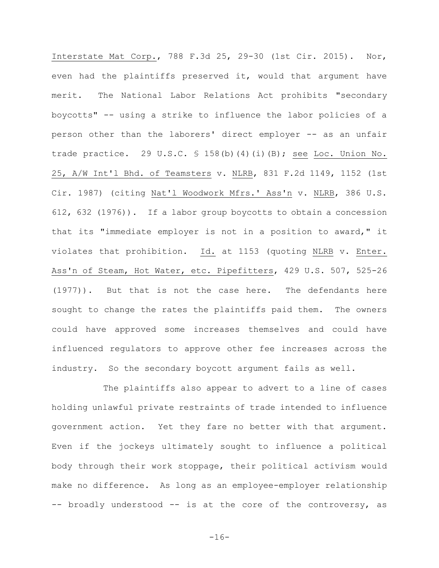Interstate Mat Corp., 788 F.3d 25, 29-30 (1st Cir. 2015). Nor, even had the plaintiffs preserved it, would that argument have merit. The National Labor Relations Act prohibits "secondary boycotts" -- using a strike to influence the labor policies of a person other than the laborers' direct employer -- as an unfair trade practice. 29 U.S.C. § 158(b)(4)(i)(B); see Loc. Union No. 25, A/W Int'l Bhd. of Teamsters v. NLRB, 831 F.2d 1149, 1152 (1st Cir. 1987) (citing Nat'l Woodwork Mfrs.' Ass'n v. NLRB, 386 U.S. 612, 632 (1976)). If a labor group boycotts to obtain a concession that its "immediate employer is not in a position to award," it violates that prohibition. Id. at 1153 (quoting NLRB v. Enter. Ass'n of Steam, Hot Water, etc. Pipefitters, 429 U.S. 507, 525-26 (1977)). But that is not the case here. The defendants here sought to change the rates the plaintiffs paid them. The owners could have approved some increases themselves and could have influenced regulators to approve other fee increases across the industry. So the secondary boycott argument fails as well.

The plaintiffs also appear to advert to a line of cases holding unlawful private restraints of trade intended to influence government action. Yet they fare no better with that argument. Even if the jockeys ultimately sought to influence a political body through their work stoppage, their political activism would make no difference. As long as an employee-employer relationship -- broadly understood -- is at the core of the controversy, as

 $-16-$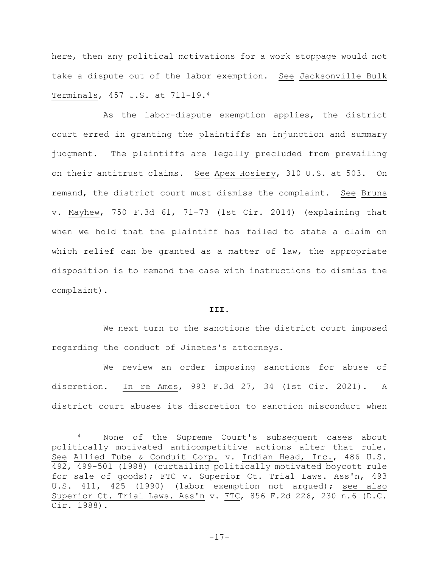here, then any political motivations for a work stoppage would not take a dispute out of the labor exemption. See Jacksonville Bulk Terminals, 457 U.S. at 711-19.<sup>4</sup>

As the labor-dispute exemption applies, the district court erred in granting the plaintiffs an injunction and summary judgment. The plaintiffs are legally precluded from prevailing on their antitrust claims. See Apex Hosiery, 310 U.S. at 503. On remand, the district court must dismiss the complaint. See Bruns v. Mayhew, 750 F.3d 61, 71–73 (1st Cir. 2014) (explaining that when we hold that the plaintiff has failed to state a claim on which relief can be granted as a matter of law, the appropriate disposition is to remand the case with instructions to dismiss the complaint).

## **III.**

We next turn to the sanctions the district court imposed regarding the conduct of Jinetes's attorneys.

We review an order imposing sanctions for abuse of discretion. In re Ames, 993 F.3d 27, 34 (1st Cir. 2021). A district court abuses its discretion to sanction misconduct when

-17-

<sup>4</sup> None of the Supreme Court's subsequent cases about politically motivated anticompetitive actions alter that rule. See Allied Tube & Conduit Corp. v. Indian Head, Inc., 486 U.S. 492, 499-501 (1988) (curtailing politically motivated boycott rule for sale of goods); FTC v. Superior Ct. Trial Laws. Ass'n, 493 U.S. 411, 425 (1990) (labor exemption not argued); see also Superior Ct. Trial Laws. Ass'n v. FTC, 856 F.2d 226, 230 n.6 (D.C. Cir. 1988).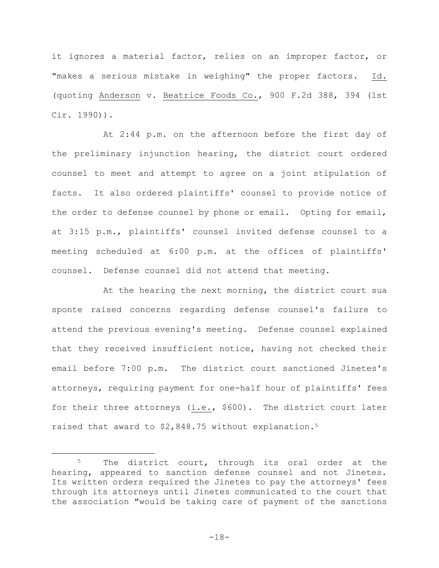it ignores a material factor, relies on an improper factor, or "makes a serious mistake in weighing" the proper factors. Id. (quoting Anderson v. Beatrice Foods Co., 900 F.2d 388, 394 (1st Cir. 1990)).

At 2:44 p.m. on the afternoon before the first day of the preliminary injunction hearing, the district court ordered counsel to meet and attempt to agree on a joint stipulation of facts. It also ordered plaintiffs' counsel to provide notice of the order to defense counsel by phone or email. Opting for email, at 3:15 p.m., plaintiffs' counsel invited defense counsel to a meeting scheduled at 6:00 p.m. at the offices of plaintiffs' counsel. Defense counsel did not attend that meeting.

At the hearing the next morning, the district court sua sponte raised concerns regarding defense counsel's failure to attend the previous evening's meeting. Defense counsel explained that they received insufficient notice, having not checked their email before 7:00 p.m. The district court sanctioned Jinetes's attorneys, requiring payment for one-half hour of plaintiffs' fees for their three attorneys (i.e., \$600). The district court later raised that award to \$2,848.75 without explanation.<sup>5</sup>

-18-

<sup>&</sup>lt;sup>5</sup> The district court, through its oral order at the hearing, appeared to sanction defense counsel and not Jinetes. Its written orders required the Jinetes to pay the attorneys' fees through its attorneys until Jinetes communicated to the court that the association "would be taking care of payment of the sanctions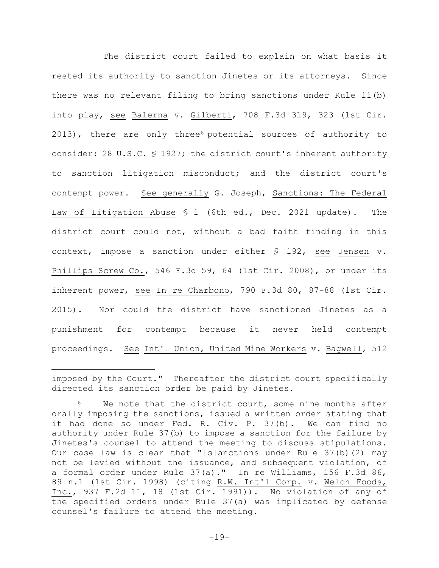The district court failed to explain on what basis it rested its authority to sanction Jinetes or its attorneys. Since there was no relevant filing to bring sanctions under Rule 11(b) into play, see Balerna v. Gilberti, 708 F.3d 319, 323 (1st Cir. 2013), there are only three<sup>6</sup> potential sources of authority to consider: 28 U.S.C. § 1927; the district court's inherent authority to sanction litigation misconduct; and the district court's contempt power. See generally G. Joseph, Sanctions: The Federal Law of Litigation Abuse § 1 (6th ed., Dec. 2021 update). The district court could not, without a bad faith finding in this context, impose a sanction under either § 192, see Jensen v. Phillips Screw Co., 546 F.3d 59, 64 (1st Cir. 2008), or under its inherent power, see In re Charbono, 790 F.3d 80, 87-88 (1st Cir. 2015). Nor could the district have sanctioned Jinetes as a punishment for contempt because it never held contempt proceedings. See Int'l Union, United Mine Workers v. Bagwell, 512

imposed by the Court." Thereafter the district court specifically directed its sanction order be paid by Jinetes.

We note that the district court, some nine months after orally imposing the sanctions, issued a written order stating that it had done so under Fed. R. Civ. P. 37(b). We can find no authority under Rule 37(b) to impose a sanction for the failure by Jinetes's counsel to attend the meeting to discuss stipulations. Our case law is clear that "[s]anctions under Rule 37(b)(2) may not be levied without the issuance, and subsequent violation, of a formal order under Rule 37(a)." In re Williams, 156 F.3d 86, 89 n.1 (1st Cir. 1998) (citing R.W. Int'l Corp. v. Welch Foods, Inc., 937 F.2d 11, 18 (1st Cir. 1991)). No violation of any of the specified orders under Rule 37(a) was implicated by defense counsel's failure to attend the meeting.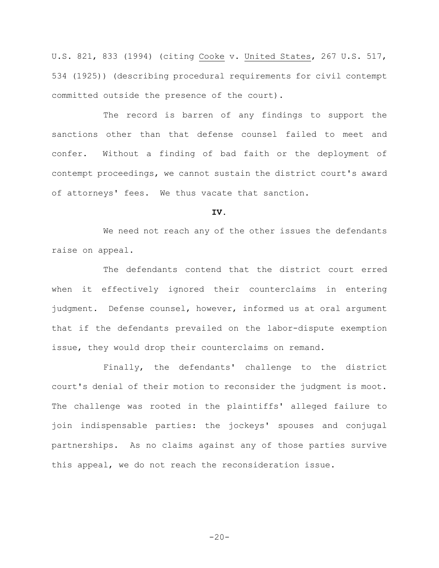U.S. 821, 833 (1994) (citing Cooke v. United States, 267 U.S. 517, 534 (1925)) (describing procedural requirements for civil contempt committed outside the presence of the court).

The record is barren of any findings to support the sanctions other than that defense counsel failed to meet and confer. Without a finding of bad faith or the deployment of contempt proceedings, we cannot sustain the district court's award of attorneys' fees. We thus vacate that sanction.

**IV.**

We need not reach any of the other issues the defendants raise on appeal.

The defendants contend that the district court erred when it effectively ignored their counterclaims in entering judgment. Defense counsel, however, informed us at oral argument that if the defendants prevailed on the labor-dispute exemption issue, they would drop their counterclaims on remand.

Finally, the defendants' challenge to the district court's denial of their motion to reconsider the judgment is moot. The challenge was rooted in the plaintiffs' alleged failure to join indispensable parties: the jockeys' spouses and conjugal partnerships. As no claims against any of those parties survive this appeal, we do not reach the reconsideration issue.

 $-20-$